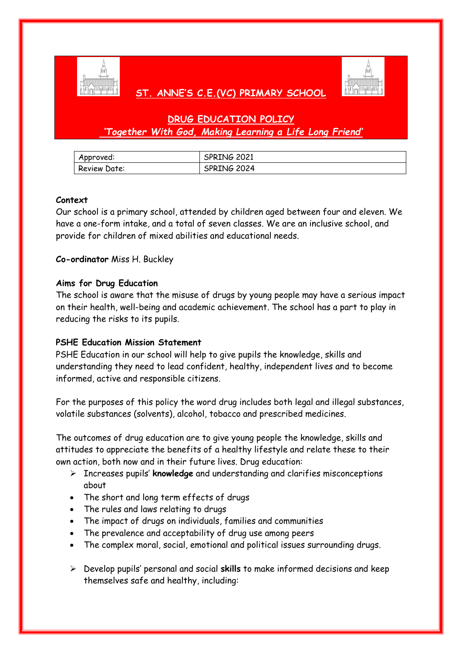

## **ST. ANNE'S C.E.(VC) PRIMARY SCHOOL**



# **DRUG EDUCATION POLICY** *'Together With God, Making Learning a Life Long Friend'*

| Approved:    | <b>SPRING 2021</b> |
|--------------|--------------------|
| Review Date: | SPRING 2024        |

#### **Context**

Our school is a primary school, attended by children aged between four and eleven. We have a one-form intake, and a total of seven classes. We are an inclusive school, and provide for children of mixed abilities and educational needs.

#### **Co-ordinator** Miss H. Buckley

#### **Aims for Drug Education**

The school is aware that the misuse of drugs by young people may have a serious impact on their health, well-being and academic achievement. The school has a part to play in reducing the risks to its pupils.

## **PSHE Education Mission Statement**

PSHE Education in our school will help to give pupils the knowledge, skills and understanding they need to lead confident, healthy, independent lives and to become informed, active and responsible citizens.

For the purposes of this policy the word drug includes both legal and illegal substances, volatile substances (solvents), alcohol, tobacco and prescribed medicines.

The outcomes of drug education are to give young people the knowledge, skills and attitudes to appreciate the benefits of a healthy lifestyle and relate these to their own action, both now and in their future lives. Drug education:

- Increases pupils' **knowledge** and understanding and clarifies misconceptions about
- The short and long term effects of drugs
- The rules and laws relating to drugs
- The impact of drugs on individuals, families and communities
- The prevalence and acceptability of drug use among peers
- The complex moral, social, emotional and political issues surrounding drugs.
- Develop pupils' personal and social **skills** to make informed decisions and keep themselves safe and healthy, including: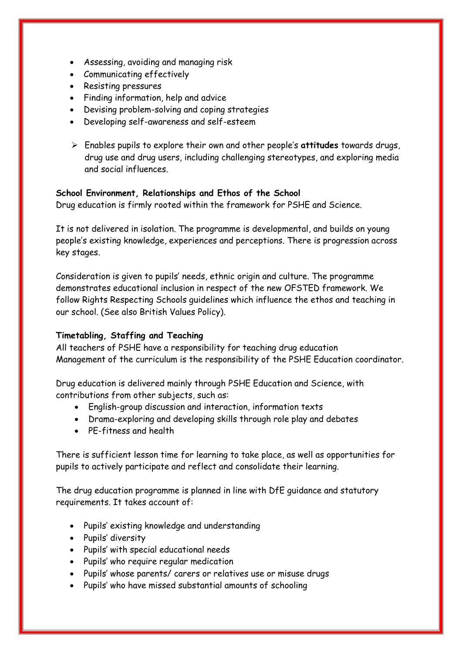- Assessing, avoiding and managing risk
- Communicating effectively
- Resisting pressures
- Finding information, help and advice
- Devising problem-solving and coping strategies
- Developing self-awareness and self-esteem
- Enables pupils to explore their own and other people's **attitudes** towards drugs, drug use and drug users, including challenging stereotypes, and exploring media and social influences.

#### **School Environment, Relationships and Ethos of the School**

Drug education is firmly rooted within the framework for PSHE and Science.

It is not delivered in isolation. The programme is developmental, and builds on young people's existing knowledge, experiences and perceptions. There is progression across key stages.

Consideration is given to pupils' needs, ethnic origin and culture. The programme demonstrates educational inclusion in respect of the new OFSTED framework. We follow Rights Respecting Schools guidelines which influence the ethos and teaching in our school. (See also British Values Policy).

## **Timetabling, Staffing and Teaching**

All teachers of PSHE have a responsibility for teaching drug education Management of the curriculum is the responsibility of the PSHE Education coordinator.

Drug education is delivered mainly through PSHE Education and Science, with contributions from other subjects, such as:

- English-group discussion and interaction, information texts
- Drama-exploring and developing skills through role play and debates
- PE-fitness and health

There is sufficient lesson time for learning to take place, as well as opportunities for pupils to actively participate and reflect and consolidate their learning.

The drug education programme is planned in line with DfE guidance and statutory requirements. It takes account of:

- Pupils' existing knowledge and understanding
- Pupils' diversity
- Pupils' with special educational needs
- Pupils' who require regular medication
- Pupils' whose parents/ carers or relatives use or misuse drugs
- Pupils' who have missed substantial amounts of schooling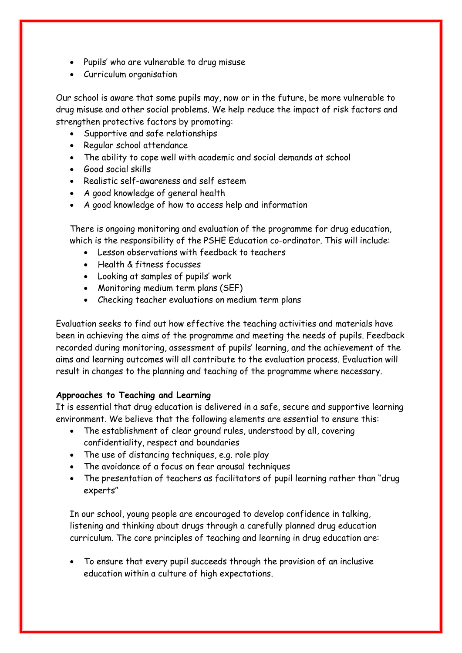- Pupils' who are vulnerable to drug misuse
- Curriculum organisation

Our school is aware that some pupils may, now or in the future, be more vulnerable to drug misuse and other social problems. We help reduce the impact of risk factors and strengthen protective factors by promoting:

- Supportive and safe relationships
- Regular school attendance
- The ability to cope well with academic and social demands at school
- Good social skills
- Realistic self-awareness and self esteem
- A good knowledge of general health
- A good knowledge of how to access help and information

There is ongoing monitoring and evaluation of the programme for drug education, which is the responsibility of the PSHE Education co-ordinator. This will include:

- Lesson observations with feedback to teachers
- Health & fitness focusses
- Looking at samples of pupils' work
- Monitoring medium term plans (SEF)
- Checking teacher evaluations on medium term plans

Evaluation seeks to find out how effective the teaching activities and materials have been in achieving the aims of the programme and meeting the needs of pupils. Feedback recorded during monitoring, assessment of pupils' learning, and the achievement of the aims and learning outcomes will all contribute to the evaluation process. Evaluation will result in changes to the planning and teaching of the programme where necessary.

## **Approaches to Teaching and Learning**

It is essential that drug education is delivered in a safe, secure and supportive learning environment. We believe that the following elements are essential to ensure this:

- The establishment of clear ground rules, understood by all, covering confidentiality, respect and boundaries
- The use of distancing techniques, e.g. role play
- The avoidance of a focus on fear arousal techniques
- The presentation of teachers as facilitators of pupil learning rather than "drug experts"

In our school, young people are encouraged to develop confidence in talking, listening and thinking about drugs through a carefully planned drug education curriculum. The core principles of teaching and learning in drug education are:

 To ensure that every pupil succeeds through the provision of an inclusive education within a culture of high expectations.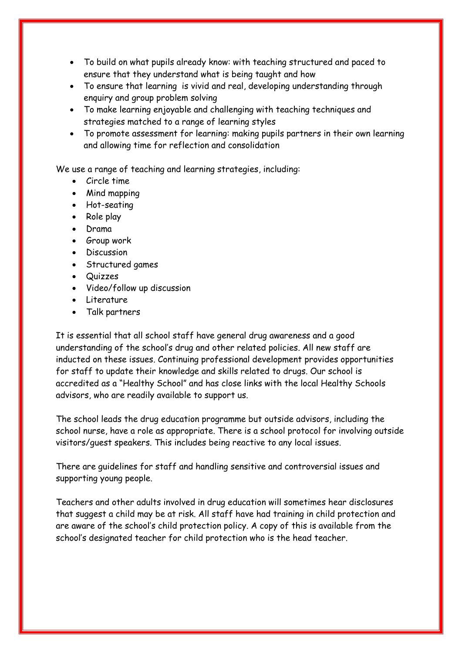- To build on what pupils already know: with teaching structured and paced to ensure that they understand what is being taught and how
- To ensure that learning is vivid and real, developing understanding through enquiry and group problem solving
- To make learning enjoyable and challenging with teaching techniques and strategies matched to a range of learning styles
- To promote assessment for learning: making pupils partners in their own learning and allowing time for reflection and consolidation

We use a range of teaching and learning strategies, including:

- Circle time
- Mind mapping
- Hot-seating
- Role play
- Drama
- Group work
- Discussion
- Structured games
- Quizzes
- Video/follow up discussion
- Literature
- Talk partners

It is essential that all school staff have general drug awareness and a good understanding of the school's drug and other related policies. All new staff are inducted on these issues. Continuing professional development provides opportunities for staff to update their knowledge and skills related to drugs. Our school is accredited as a "Healthy School" and has close links with the local Healthy Schools advisors, who are readily available to support us.

The school leads the drug education programme but outside advisors, including the school nurse, have a role as appropriate. There is a school protocol for involving outside visitors/guest speakers. This includes being reactive to any local issues.

There are guidelines for staff and handling sensitive and controversial issues and supporting young people.

Teachers and other adults involved in drug education will sometimes hear disclosures that suggest a child may be at risk. All staff have had training in child protection and are aware of the school's child protection policy. A copy of this is available from the school's designated teacher for child protection who is the head teacher.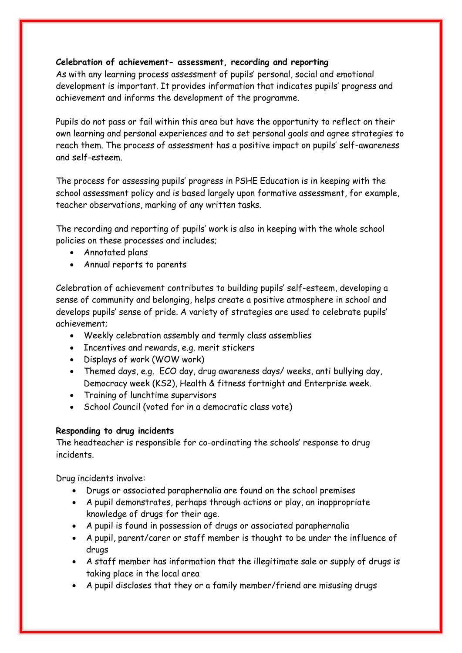## **Celebration of achievement- assessment, recording and reporting**

As with any learning process assessment of pupils' personal, social and emotional development is important. It provides information that indicates pupils' progress and achievement and informs the development of the programme.

Pupils do not pass or fail within this area but have the opportunity to reflect on their own learning and personal experiences and to set personal goals and agree strategies to reach them. The process of assessment has a positive impact on pupils' self-awareness and self-esteem.

The process for assessing pupils' progress in PSHE Education is in keeping with the school assessment policy and is based largely upon formative assessment, for example, teacher observations, marking of any written tasks.

The recording and reporting of pupils' work is also in keeping with the whole school policies on these processes and includes;

- Annotated plans
- Annual reports to parents

Celebration of achievement contributes to building pupils' self-esteem, developing a sense of community and belonging, helps create a positive atmosphere in school and develops pupils' sense of pride. A variety of strategies are used to celebrate pupils' achievement;

- Weekly celebration assembly and termly class assemblies
- Incentives and rewards, e.g. merit stickers
- Displays of work (WOW work)
- Themed days, e.g. ECO day, drug awareness days/ weeks, anti bullying day, Democracy week (KS2), Health & fitness fortnight and Enterprise week.
- Training of lunchtime supervisors
- School Council (voted for in a democratic class vote)

## **Responding to drug incidents**

The headteacher is responsible for co-ordinating the schools' response to drug incidents.

Drug incidents involve:

- Drugs or associated paraphernalia are found on the school premises
- A pupil demonstrates, perhaps through actions or play, an inappropriate knowledge of drugs for their age.
- A pupil is found in possession of drugs or associated paraphernalia
- A pupil, parent/carer or staff member is thought to be under the influence of drugs
- A staff member has information that the illegitimate sale or supply of drugs is taking place in the local area
- A pupil discloses that they or a family member/friend are misusing drugs